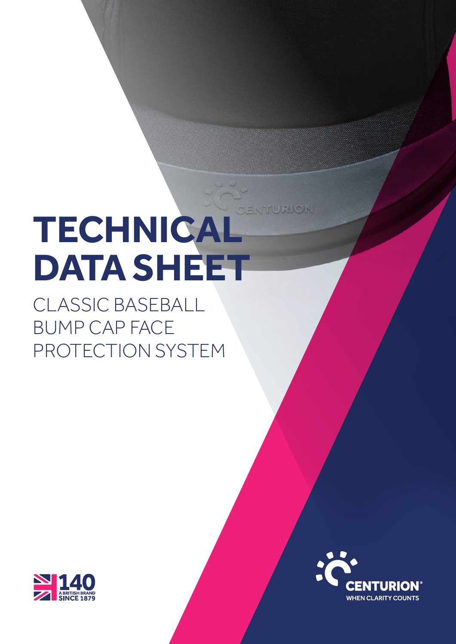# ENTURION **TECHNICAL DATA SHEET**

CLASSIC BASEBALL BUMP CAP FACE PROTECTION SYSTEM



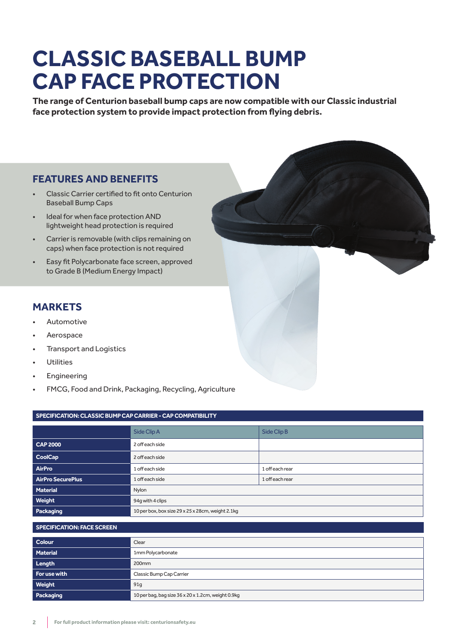# **CLASSIC BASEBALL BUMP CAP FACE PROTECTION**

**The range of Centurion baseball bump caps are now compatible with our Classic industrial face protection system to provide impact protection from flying debris.**

# **FEATURES AND BENEFITS**

- Classic Carrier certified to fit onto Centurion Baseball Bump Caps
- Ideal for when face protection AND lightweight head protection is required
- Carrier is removable (with clips remaining on caps) when face protection is not required
- Easy fit Polycarbonate face screen, approved to Grade B (Medium Energy Impact)

# **MARKETS**

- Automotive
- **Aerospace**
- Transport and Logistics
- **Utilities**
- **Engineering**
- FMCG, Food and Drink, Packaging, Recycling, Agriculture

## **SPECIFICATION: CLASSIC BUMP CAP CARRIER - CAP COMPATIBILITY**

|                   | Side Clip A                                       | Side Clip B     |  |  |  |  |  |
|-------------------|---------------------------------------------------|-----------------|--|--|--|--|--|
| <b>CAP 2000</b>   | 2 off each side                                   |                 |  |  |  |  |  |
| <b>CoolCap</b>    | 2 off each side                                   |                 |  |  |  |  |  |
| AirPro            | 1 off each side                                   | 1 off each rear |  |  |  |  |  |
| AirPro SecurePlus | 1 off each rear<br>1 off each side                |                 |  |  |  |  |  |
| Material          | Nylon                                             |                 |  |  |  |  |  |
| Weight            | 94q with 4 clips                                  |                 |  |  |  |  |  |
| Packaging         | 10 per box, box size 29 x 25 x 28cm, weight 2.1kg |                 |  |  |  |  |  |

#### **SPECIFICATION: FACE SCREEN**

| <b>Colour</b> | Clear                                              |
|---------------|----------------------------------------------------|
| Material      | 1mm Polycarbonate                                  |
| Length        | 200 <sub>mm</sub>                                  |
| For use with  | Classic Bump Cap Carrier                           |
| Weight        | 91g                                                |
| Packaging     | 10 per bag, bag size 36 x 20 x 1.2cm, weight 0.9kg |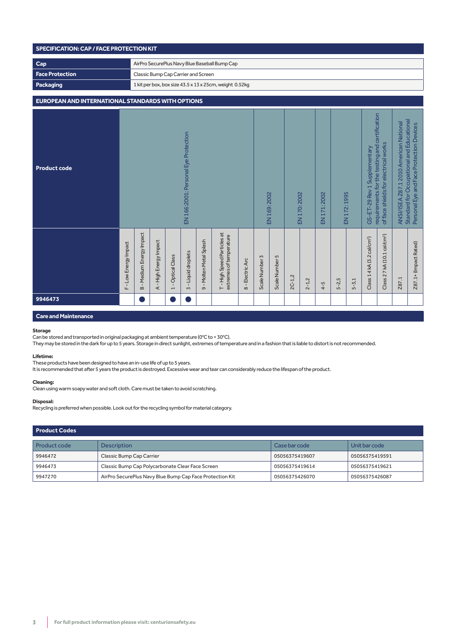| SPECIFICATION: CAP / FACE PROTECTION KIT                 |                     |                                                         |                        |                                |                                            |                         |                                                      |                                                    |                |                |          |              |              |           |                                                                                                                        |                                         |                                                                                                                                 |       |                       |
|----------------------------------------------------------|---------------------|---------------------------------------------------------|------------------------|--------------------------------|--------------------------------------------|-------------------------|------------------------------------------------------|----------------------------------------------------|----------------|----------------|----------|--------------|--------------|-----------|------------------------------------------------------------------------------------------------------------------------|-----------------------------------------|---------------------------------------------------------------------------------------------------------------------------------|-------|-----------------------|
| Cap                                                      |                     | AirPro SecurePlus Navy Blue Baseball Bump Cap           |                        |                                |                                            |                         |                                                      |                                                    |                |                |          |              |              |           |                                                                                                                        |                                         |                                                                                                                                 |       |                       |
| <b>Face Protection</b>                                   |                     | Classic Bump Cap Carrier and Screen                     |                        |                                |                                            |                         |                                                      |                                                    |                |                |          |              |              |           |                                                                                                                        |                                         |                                                                                                                                 |       |                       |
| Packaging                                                |                     | 1 kit per box, box size 43.5 x 13 x 25cm, weight 0.52kg |                        |                                |                                            |                         |                                                      |                                                    |                |                |          |              |              |           |                                                                                                                        |                                         |                                                                                                                                 |       |                       |
| <b>EUROPEAN AND INTERNATIONAL STANDARDS WITH OPTIONS</b> |                     |                                                         |                        |                                |                                            |                         |                                                      |                                                    |                |                |          |              |              |           |                                                                                                                        |                                         |                                                                                                                                 |       |                       |
| <b>Product code</b>                                      |                     | EN 166:2001: Personal Eye Protection                    |                        |                                |                                            |                         |                                                      | EN 169: 2002                                       |                | EN 170: 2002   |          | EN 171: 2002 | EN 172: 1995 |           | requirements for the testing and certification<br>of face shields for electrical works<br>GS-ET-29 Rev 1 Supplementary |                                         | Standard for Occupational and Educational<br>ANSI/ISEA Z87.1 2010 American National<br>Personal Eye and Face Protection Devices |       |                       |
|                                                          | F-Low Energy Impact | <b>B</b> - Medium Energy Impact                         | A - High Energy Impact | Optical Class<br>$\frac{1}{1}$ | <b>Liquid droplets</b><br>$\overline{5}$ – | 9 - Molten Metal Splash | T-High Speed Particles at<br>extremes of temperature | Electric Arc<br>$\overset{\shortparallel}{\infty}$ | Scale Number 3 | Scale Number 5 | $2C-1,2$ | $2 - 1,2$    | $4 - 5$      | $5 - 2,5$ | $5 - 3,1$                                                                                                              | Class 1 4 kA (3.2 cal/cm <sup>2</sup> ) | Class 2 7 kA (10.1 cal/cm <sup>2</sup> )                                                                                        | Z87.1 | Z87.1+ (Impact Rated) |
| 9946473                                                  |                     | u.                                                      |                        |                                | o (                                        |                         |                                                      |                                                    |                |                |          |              |              |           |                                                                                                                        |                                         |                                                                                                                                 |       |                       |

### **Care and Maintenance**

#### **Storage**

Can be stored and transported in original packaging at ambient temperature (0°C to + 30°C).

They may be stored in the dark for up to 5 years. Storage in direct sunlight, extremes of temperature and in a fashion that is liable to distort is not recommended.

#### **Lifetime:**

These products have been designed to have an in-use life of up to 5 years.

It is recommended that after 5 years the product is destroyed. Excessive wear and tear can considerably reduce the lifespan of the product.

#### **Cleaning:**

Clean using warm soapy water and soft cloth. Care must be taken to avoid scratching.

#### **Disposal:**

Recycling is preferred when possible. Look out for the recycling symbol for material category.

| Product Codes |                                                          |                |                |  |  |  |  |  |  |
|---------------|----------------------------------------------------------|----------------|----------------|--|--|--|--|--|--|
| Product code  | <b>Description</b>                                       | Case bar code  | Unit bar code  |  |  |  |  |  |  |
| 9946472       | Classic Bump Cap Carrier                                 | 05056375419607 | 05056375419591 |  |  |  |  |  |  |
| 9946473       | Classic Bump Cap Polycarbonate Clear Face Screen         | 05056375419614 | 05056375419621 |  |  |  |  |  |  |
| 9947270       | AirPro SecurePlus Navy Blue Bump Cap Face Protection Kit | 05056375426070 | 05056375426087 |  |  |  |  |  |  |